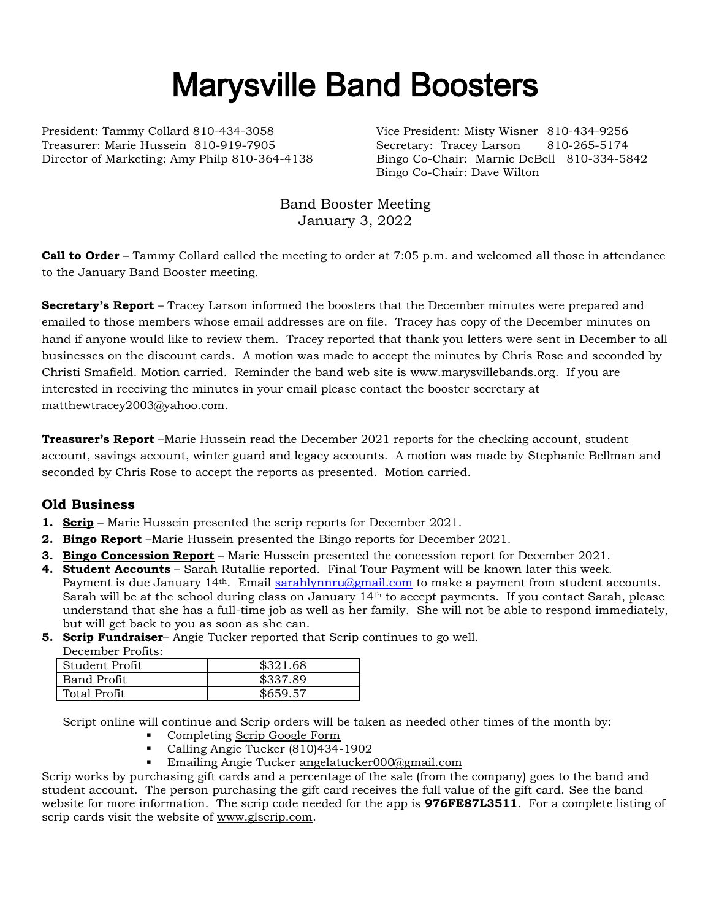# Marysville Band Boosters

President: Tammy Collard 810-434-3058 Vice President: Misty Wisner 810-434-9256 Treasurer: Marie Hussein 810-919-7905 Secretary: Tracey Larson 810-265-5174

Director of Marketing: Amy Philp 810-364-4138 Bingo Co-Chair: Marnie DeBell 810-334-5842 Bingo Co-Chair: Dave Wilton

> Band Booster Meeting January 3, 2022

**Call to Order** – Tammy Collard called the meeting to order at 7:05 p.m. and welcomed all those in attendance to the January Band Booster meeting.

**Secretary's Report** – Tracey Larson informed the boosters that the December minutes were prepared and emailed to those members whose email addresses are on file. Tracey has copy of the December minutes on hand if anyone would like to review them. Tracey reported that thank you letters were sent in December to all businesses on the discount cards. A motion was made to accept the minutes by Chris Rose and seconded by Christi Smafield. Motion carried. Reminder the band web site is [www.marysvillebands.org.](http://www.marysvillebands.org/) If you are interested in receiving the minutes in your email please contact the booster secretary at matthewtracey2003@yahoo.com.

**Treasurer's Report** –Marie Hussein read the December 2021 reports for the checking account, student account, savings account, winter guard and legacy accounts. A motion was made by Stephanie Bellman and seconded by Chris Rose to accept the reports as presented. Motion carried.

# **Old Business**

- **1. Scrip** Marie Hussein presented the scrip reports for December 2021.
- **2. Bingo Report** –Marie Hussein presented the Bingo reports for December 2021.
- **3. Bingo Concession Report** Marie Hussein presented the concession report for December 2021.
- **4. Student Accounts** Sarah Rutallie reported. Final Tour Payment will be known later this week. Payment is due January 14<sup>th</sup>. Email [sarahlynnru@gmail.com](mailto:sarahlynnru@gmail.com) to make a payment from student accounts. Sarah will be at the school during class on January 14<sup>th</sup> to accept payments. If you contact Sarah, please understand that she has a full-time job as well as her family. She will not be able to respond immediately, but will get back to you as soon as she can.
- **5. Scrip Fundraiser** Angie Tucker reported that Scrip continues to go well.

| December Profits:  |          |
|--------------------|----------|
| l Student Profit   | \$321.68 |
| <b>Band Profit</b> | \$337.89 |
| Total Profit       | \$659.57 |

Script online will continue and Scrip orders will be taken as needed other times of the month by:

- Completing [Scrip Google Form](https://forms.gle/Ryvw2wHxTdg1j3Yj6)
- Calling Angie Tucker (810)434-1902
- Emailing Angie Tucker [angelatucker000@gmail.com](mailto:angelatucker000@gmail.com)

Scrip works by purchasing gift cards and a percentage of the sale (from the company) goes to the band and student account. The person purchasing the gift card receives the full value of the gift card. See the band website for more information. The scrip code needed for the app is **976FE87L3511**. For a complete listing of scrip cards visit the website of [www.glscrip.com.](http://www.glscrip.com/)